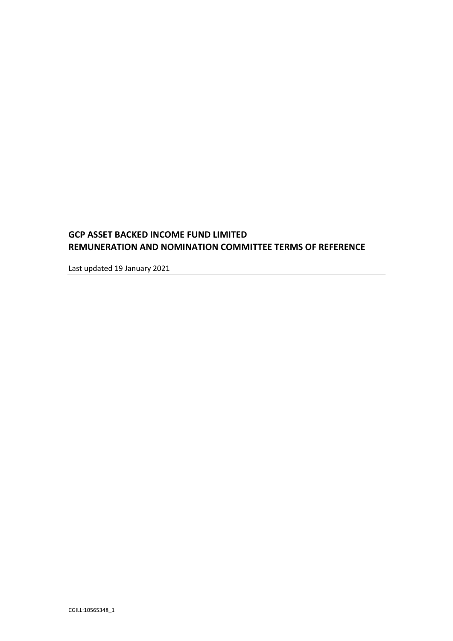# **GCP ASSET BACKED INCOME FUND LIMITED REMUNERATION AND NOMINATION COMMITTEE TERMS OF REFERENCE**

Last updated 19 January 2021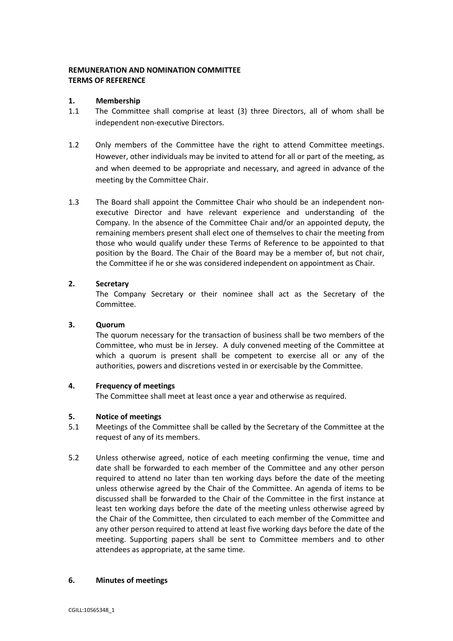# **REMUNERATION AND NOMINATION COMMITTEE TERMS OF REFERENCE**

### **1. Membership**

- 1.1 The Committee shall comprise at least (3) three Directors, all of whom shall be independent non-executive Directors.
- 1.2 Only members of the Committee have the right to attend Committee meetings. However, other individuals may be invited to attend for all or part of the meeting, as and when deemed to be appropriate and necessary, and agreed in advance of the meeting by the Committee Chair.
- 1.3 The Board shall appoint the Committee Chair who should be an independent nonexecutive Director and have relevant experience and understanding of the Company. In the absence of the Committee Chair and/or an appointed deputy, the remaining members present shall elect one of themselves to chair the meeting from those who would qualify under these Terms of Reference to be appointed to that position by the Board. The Chair of the Board may be a member of, but not chair, the Committee if he or she was considered independent on appointment as Chair.

## **2. Secretary**

The Company Secretary or their nominee shall act as the Secretary of the Committee.

### **3. Quorum**

The quorum necessary for the transaction of business shall be two members of the Committee, who must be in Jersey. A duly convened meeting of the Committee at which a quorum is present shall be competent to exercise all or any of the authorities, powers and discretions vested in or exercisable by the Committee.

#### **4. Frequency of meetings**

The Committee shall meet at least once a year and otherwise as required.

#### **5. Notice of meetings**

- 5.1 Meetings of the Committee shall be called by the Secretary of the Committee at the request of any of its members.
- 5.2 Unless otherwise agreed, notice of each meeting confirming the venue, time and date shall be forwarded to each member of the Committee and any other person required to attend no later than ten working days before the date of the meeting unless otherwise agreed by the Chair of the Committee. An agenda of items to be discussed shall be forwarded to the Chair of the Committee in the first instance at least ten working days before the date of the meeting unless otherwise agreed by the Chair of the Committee, then circulated to each member of the Committee and any other person required to attend at least five working days before the date of the meeting. Supporting papers shall be sent to Committee members and to other attendees as appropriate, at the same time.

#### **6. Minutes of meetings**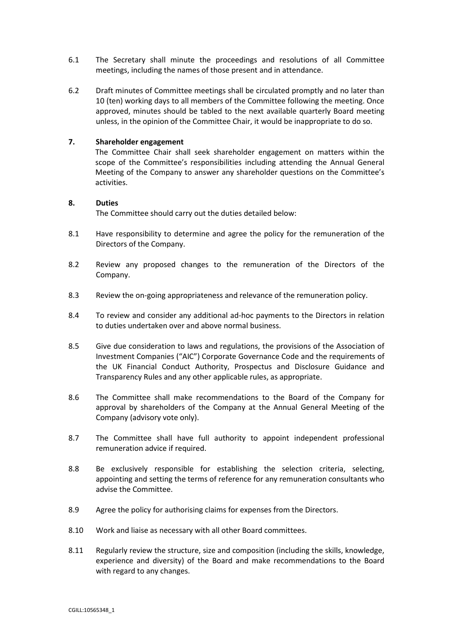- 6.1 The Secretary shall minute the proceedings and resolutions of all Committee meetings, including the names of those present and in attendance.
- 6.2 Draft minutes of Committee meetings shall be circulated promptly and no later than 10 (ten) working days to all members of the Committee following the meeting. Once approved, minutes should be tabled to the next available quarterly Board meeting unless, in the opinion of the Committee Chair, it would be inappropriate to do so.

#### **7. Shareholder engagement**

The Committee Chair shall seek shareholder engagement on matters within the scope of the Committee's responsibilities including attending the Annual General Meeting of the Company to answer any shareholder questions on the Committee's activities.

#### **8. Duties**

The Committee should carry out the duties detailed below:

- 8.1 Have responsibility to determine and agree the policy for the remuneration of the Directors of the Company.
- 8.2 Review any proposed changes to the remuneration of the Directors of the Company.
- 8.3 Review the on-going appropriateness and relevance of the remuneration policy.
- 8.4 To review and consider any additional ad-hoc payments to the Directors in relation to duties undertaken over and above normal business.
- 8.5 Give due consideration to laws and regulations, the provisions of the Association of Investment Companies ("AIC") Corporate Governance Code and the requirements of the UK Financial Conduct Authority, Prospectus and Disclosure Guidance and Transparency Rules and any other applicable rules, as appropriate.
- 8.6 The Committee shall make recommendations to the Board of the Company for approval by shareholders of the Company at the Annual General Meeting of the Company (advisory vote only).
- 8.7 The Committee shall have full authority to appoint independent professional remuneration advice if required.
- 8.8 Be exclusively responsible for establishing the selection criteria, selecting, appointing and setting the terms of reference for any remuneration consultants who advise the Committee.
- 8.9 Agree the policy for authorising claims for expenses from the Directors.
- 8.10 Work and liaise as necessary with all other Board committees.
- 8.11 Regularly review the structure, size and composition (including the skills, knowledge, experience and diversity) of the Board and make recommendations to the Board with regard to any changes.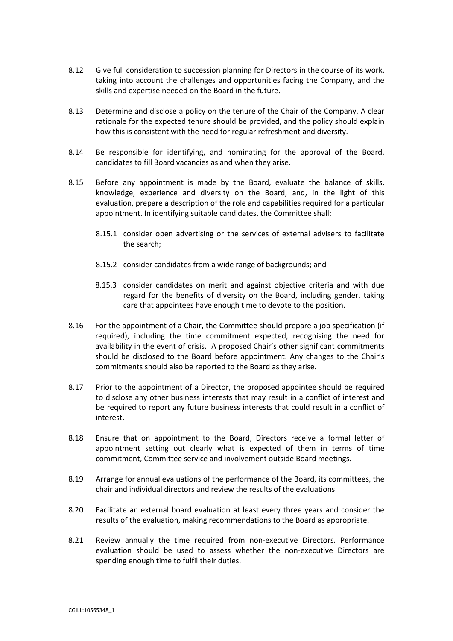- 8.12 Give full consideration to succession planning for Directors in the course of its work, taking into account the challenges and opportunities facing the Company, and the skills and expertise needed on the Board in the future.
- 8.13 Determine and disclose a policy on the tenure of the Chair of the Company. A clear rationale for the expected tenure should be provided, and the policy should explain how this is consistent with the need for regular refreshment and diversity.
- 8.14 Be responsible for identifying, and nominating for the approval of the Board, candidates to fill Board vacancies as and when they arise.
- 8.15 Before any appointment is made by the Board, evaluate the balance of skills, knowledge, experience and diversity on the Board, and, in the light of this evaluation, prepare a description of the role and capabilities required for a particular appointment. In identifying suitable candidates, the Committee shall:
	- 8.15.1 consider open advertising or the services of external advisers to facilitate the search;
	- 8.15.2 consider candidates from a wide range of backgrounds; and
	- 8.15.3 consider candidates on merit and against objective criteria and with due regard for the benefits of diversity on the Board, including gender, taking care that appointees have enough time to devote to the position.
- 8.16 For the appointment of a Chair, the Committee should prepare a job specification (if required), including the time commitment expected, recognising the need for availability in the event of crisis. A proposed Chair's other significant commitments should be disclosed to the Board before appointment. Any changes to the Chair's commitments should also be reported to the Board as they arise.
- 8.17 Prior to the appointment of a Director, the proposed appointee should be required to disclose any other business interests that may result in a conflict of interest and be required to report any future business interests that could result in a conflict of interest.
- 8.18 Ensure that on appointment to the Board, Directors receive a formal letter of appointment setting out clearly what is expected of them in terms of time commitment, Committee service and involvement outside Board meetings.
- 8.19 Arrange for annual evaluations of the performance of the Board, its committees, the chair and individual directors and review the results of the evaluations.
- 8.20 Facilitate an external board evaluation at least every three years and consider the results of the evaluation, making recommendations to the Board as appropriate.
- 8.21 Review annually the time required from non-executive Directors. Performance evaluation should be used to assess whether the non-executive Directors are spending enough time to fulfil their duties.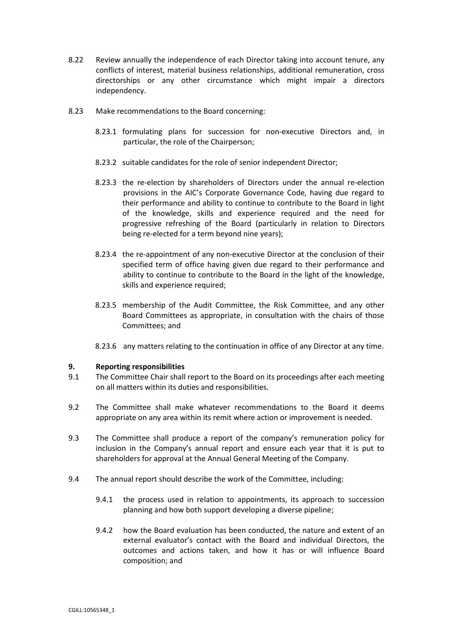- 8.22 Review annually the independence of each Director taking into account tenure, any conflicts of interest, material business relationships, additional remuneration, cross directorships or any other circumstance which might impair a directors independency.
- 8.23 Make recommendations to the Board concerning:
	- 8.23.1 formulating plans for succession for non-executive Directors and, in particular, the role of the Chairperson;
	- 8.23.2 suitable candidates for the role of senior independent Director;
	- 8.23.3 the re-election by shareholders of Directors under the annual re-election provisions in the AIC's Corporate Governance Code, having due regard to their performance and ability to continue to contribute to the Board in light of the knowledge, skills and experience required and the need for progressive refreshing of the Board (particularly in relation to Directors being re-elected for a term beyond nine years);
	- 8.23.4 the re-appointment of any non-executive Director at the conclusion of their specified term of office having given due regard to their performance and ability to continue to contribute to the Board in the light of the knowledge, skills and experience required;
	- 8.23.5 membership of the Audit Committee, the Risk Committee, and any other Board Committees as appropriate, in consultation with the chairs of those Committees; and
	- 8.23.6 any matters relating to the continuation in office of any Director at any time.

#### **9. Reporting responsibilities**

- 9.1 The Committee Chair shall report to the Board on its proceedings after each meeting on all matters within its duties and responsibilities.
- 9.2 The Committee shall make whatever recommendations to the Board it deems appropriate on any area within its remit where action or improvement is needed.
- 9.3 The Committee shall produce a report of the company's remuneration policy for inclusion in the Company's annual report and ensure each year that it is put to shareholders for approval at the Annual General Meeting of the Company.
- 9.4 The annual report should describe the work of the Committee, including:
	- 9.4.1 the process used in relation to appointments, its approach to succession planning and how both support developing a diverse pipeline;
	- 9.4.2 how the Board evaluation has been conducted, the nature and extent of an external evaluator's contact with the Board and individual Directors, the outcomes and actions taken, and how it has or will influence Board composition; and